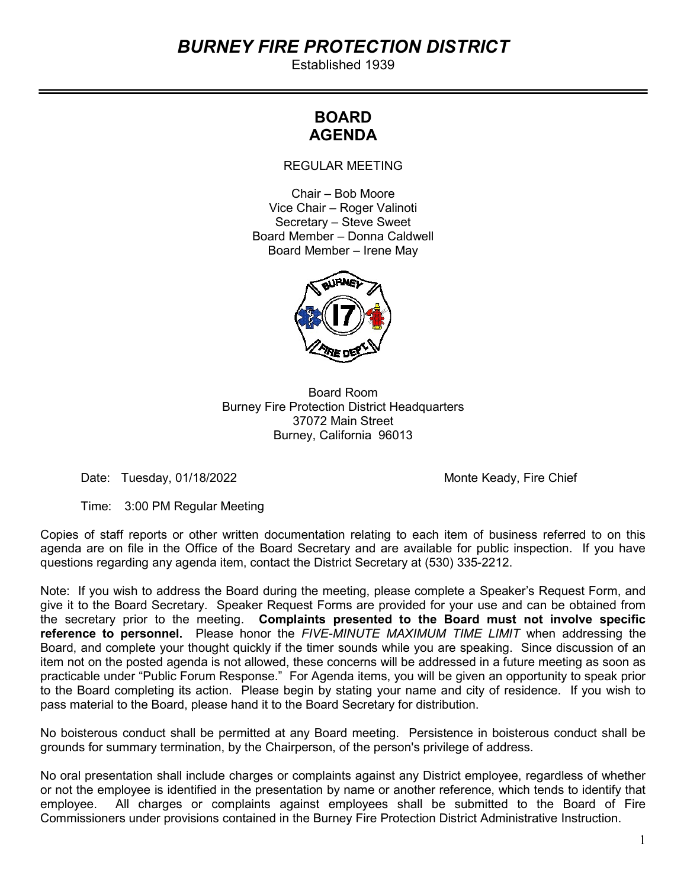# BURNEY FIRE PROTECTION DISTRICT

Established 1939

# BOARD AGENDA

REGULAR MEETING

Chair – Bob Moore Vice Chair – Roger Valinoti Secretary – Steve Sweet Board Member – Donna Caldwell Board Member – Irene May



Board Room Burney Fire Protection District Headquarters 37072 Main Street Burney, California 96013

Date: Tuesday, 01/18/2022 and the matrix of the Monte Keady, Fire Chief

Time: 3:00 PM Regular Meeting

Copies of staff reports or other written documentation relating to each item of business referred to on this agenda are on file in the Office of the Board Secretary and are available for public inspection. If you have questions regarding any agenda item, contact the District Secretary at (530) 335-2212.

Note: If you wish to address the Board during the meeting, please complete a Speaker's Request Form, and give it to the Board Secretary. Speaker Request Forms are provided for your use and can be obtained from the secretary prior to the meeting. Complaints presented to the Board must not involve specific reference to personnel. Please honor the FIVE-MINUTE MAXIMUM TIME LIMIT when addressing the Board, and complete your thought quickly if the timer sounds while you are speaking. Since discussion of an item not on the posted agenda is not allowed, these concerns will be addressed in a future meeting as soon as practicable under "Public Forum Response." For Agenda items, you will be given an opportunity to speak prior to the Board completing its action. Please begin by stating your name and city of residence. If you wish to pass material to the Board, please hand it to the Board Secretary for distribution.

No boisterous conduct shall be permitted at any Board meeting. Persistence in boisterous conduct shall be grounds for summary termination, by the Chairperson, of the person's privilege of address.

No oral presentation shall include charges or complaints against any District employee, regardless of whether or not the employee is identified in the presentation by name or another reference, which tends to identify that employee. All charges or complaints against employees shall be submitted to the Board of Fire Commissioners under provisions contained in the Burney Fire Protection District Administrative Instruction.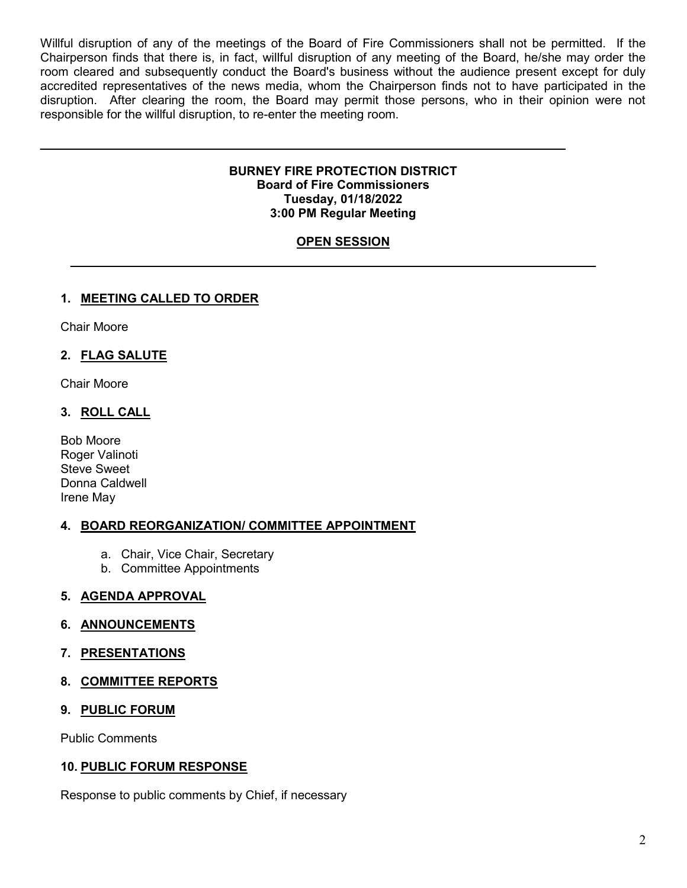Willful disruption of any of the meetings of the Board of Fire Commissioners shall not be permitted. If the Chairperson finds that there is, in fact, willful disruption of any meeting of the Board, he/she may order the room cleared and subsequently conduct the Board's business without the audience present except for duly accredited representatives of the news media, whom the Chairperson finds not to have participated in the disruption. After clearing the room, the Board may permit those persons, who in their opinion were not responsible for the willful disruption, to re-enter the meeting room.

#### BURNEY FIRE PROTECTION DISTRICT Board of Fire Commissioners Tuesday, 01/18/2022 3:00 PM Regular Meeting

# **OPEN SESSION**

## 1. MEETING CALLED TO ORDER

Chair Moore

#### 2. FLAG SALUTE

Chair Moore

#### 3. ROLL CALL

Bob Moore Roger Valinoti Steve Sweet Donna Caldwell Irene May

#### 4. BOARD REORGANIZATION/ COMMITTEE APPOINTMENT

- a. Chair, Vice Chair, Secretary
- b. Committee Appointments

#### 5. AGENDA APPROVAL

#### 6. ANNOUNCEMENTS

#### 7. PRESENTATIONS

#### 8. COMMITTEE REPORTS

#### 9. PUBLIC FORUM

Public Comments

#### 10. PUBLIC FORUM RESPONSE

Response to public comments by Chief, if necessary